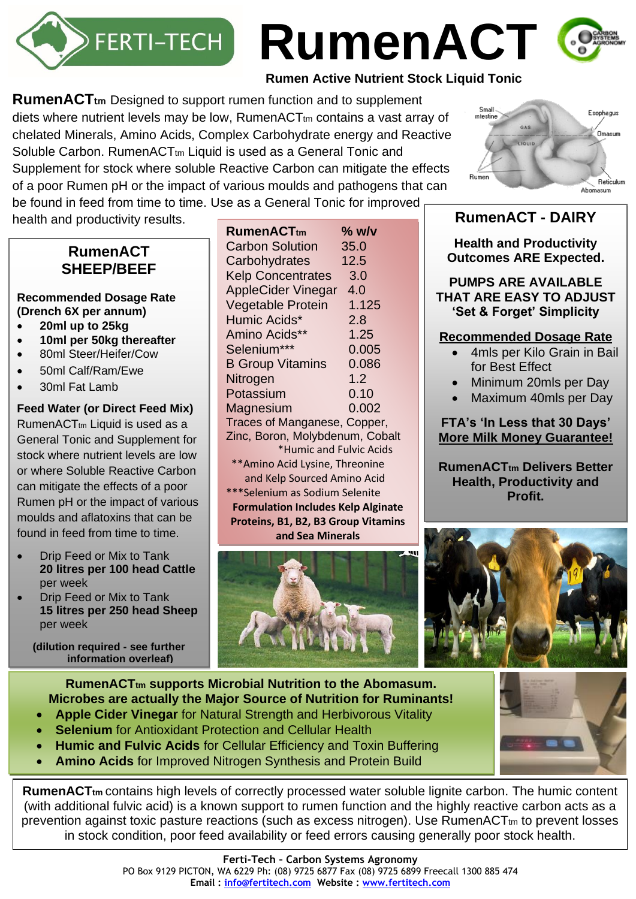

FERTI-TECH **RumenACT** 

#### **Rumen Active Nutrient Stock Liquid Tonic**

**RumenACTtm** Designed to support rumen function and to supplement diets where nutrient levels may be low,  $R$ umen $ACT$ <sub>tm</sub> contains a vast array of chelated Minerals, Amino Acids, Complex Carbohydrate energy and Reactive Soluble Carbon. RumenACTtm Liquid is used as a General Tonic and Supplement for stock where soluble Reactive Carbon can mitigate the effects of a poor Rumen pH or the impact of various moulds and pathogens that can be found in feed from time to time. Use as a General Tonic for improved

health and productivity results.

## **RumenACT SHEEP/BEEF**

**Recommended Dosage Rate (Drench 6X per annum)**

- **20ml up to 25kg**
- **10ml per 50kg thereafter**
- 80ml Steer/Heifer/Cow
- 50ml Calf/Ram/Ewe
- 30ml Fat Lamb

## **Feed Water (or Direct Feed Mix)**

RumenACTtm Liquid is used as a General Tonic and Supplement for stock where nutrient levels are low or where Soluble Reactive Carbon can mitigate the effects of a poor Rumen pH or the impact of various moulds and aflatoxins that can be found in feed from time to time.

- Drip Feed or Mix to Tank **20 litres per 100 head Cattle** per week
- Drip Feed or Mix to Tank **15 litres per 250 head Sheep** per week

**(dilution required - see further information overleaf)**

| $\mathsf{R}$ umen $\mathsf{ACT}_{\mathsf{tm}}$ | $\%$ w/v |  |
|------------------------------------------------|----------|--|
| <b>Carbon Solution</b>                         | 35.0     |  |
| Carbohydrates                                  | 12.5     |  |
| <b>Kelp Concentrates</b>                       | 3.0      |  |
| <b>AppleCider Vinegar</b>                      | 4.0      |  |
| Vegetable Protein                              | 1.125    |  |
| Humic Acids*                                   | 2.8      |  |
| Amino Acids**                                  | 1.25     |  |
| Selenium***                                    | 0.005    |  |
| <b>B Group Vitamins</b>                        | 0.086    |  |
| Nitrogen                                       | 1.2      |  |
| Potassium                                      | 0.10     |  |
| Magnesium                                      | 0.002    |  |
| Traces of Manganese, Copper,                   |          |  |
| Zinc, Boron, Molybdenum, Cobalt                |          |  |
| *Humic and Fulvic Acids                        |          |  |
| ** Amino Acid Lysine, Threonine                |          |  |
| and Kelp Sourced Amino Acid                    |          |  |
| ***Selenium as Sodium Selenite                 |          |  |
| <b>Formulation Includes Kelp Alginate</b>      |          |  |
| Proteins, B1, B2, B3 Group Vitamins            |          |  |
| and Sea Minerals                               |          |  |





# **RumenACT - DAIRY**

**Health and Productivity Outcomes ARE Expected.**

**PUMPS ARE AVAILABLE THAT ARE EASY TO ADJUST 'Set & Forget' Simplicity**

#### **Recommended Dosage Rate**

- 4mls per Kilo Grain in Bail for Best Effect
- Minimum 20mls per Day
- Maximum 40mls per Day

#### **FTA's 'In Less that 30 Days' More Milk Money Guarantee!**

**RumenACTtm Delivers Better Health, Productivity and Profit.**



**RumenACTtm supports Microbial Nutrition to the Abomasum. Microbes are actually the Major Source of Nutrition for Ruminants!**

- **Apple Cider Vinegar** for Natural Strength and Herbivorous Vitality
- **Selenium** for Antioxidant Protection and Cellular Health
- **Humic and Fulvic Acids** for Cellular Efficiency and Toxin Buffering
- **Amino Acids** for Improved Nitrogen Synthesis and Protein Build

**RumenACTtm** contains high levels of correctly processed water soluble lignite carbon. The humic content (with additional fulvic acid) is a known support to rumen function and the highly reactive carbon acts as a prevention against toxic pasture reactions (such as excess nitrogen). Use RumenACTtm to prevent losses in stock condition, poor feed availability or feed errors causing generally poor stock health.